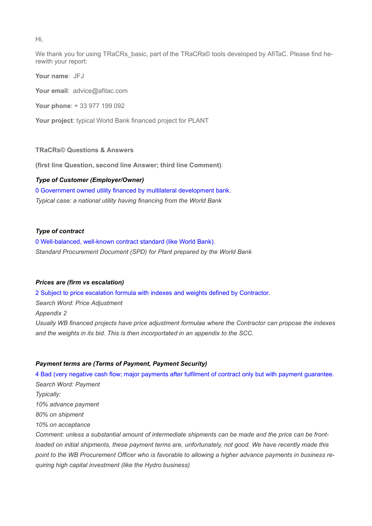Hi,

We thank you for using TRaCRs basic, part of the TRaCRs© tools developed by AfiTaC. Please find herewith your report:

Your name: JFJ

Your email: advice@afitac.com

Your phone: + 33 977 199 092

Your project: typical World Bank financed project for PLANT

## TRaCRs© Questions & Answers

(first line Question, second line Answer; third line Comment):

## Type of Customer (Employer/Owner)

0 Government owned utility financed by multilateral development bank. Typical case: a national utility having financing from the World Bank

#### Type of contract

0 Well-balanced, well-known contract standard (like World Bank). Standard Procurement Document (SPD) for Plant prepared by the World Bank

## Prices are (firm vs escalation)

2 Subject to price escalation formula with indexes and weights defined by Contractor. Search Word: Price Adjustment Appendix 2 Usually WB financed projects have price adjustment formulae where the Contractor can propose the indexes and the weights in its bid. This is then incorportated in an appendix to the SCC.

#### Payment terms are (Terms of Payment, Payment Security)

4 Bad (very negative cash flow; major payments after fulfilment of contract only but with payment guarantee. Search Word: Payment Typically: 10% advance payment 80% on shipment 10% on acceptance Comment: unless a substantial amount of intermediate shipments can be made and the price can be frontloaded on initial shipments, these payment terms are, unfortunately, not good. We have recently made this point to the WB Procurement Officer who is favorable to allowing a higher advance payments in business requiring high capital investment (like the Hydro business)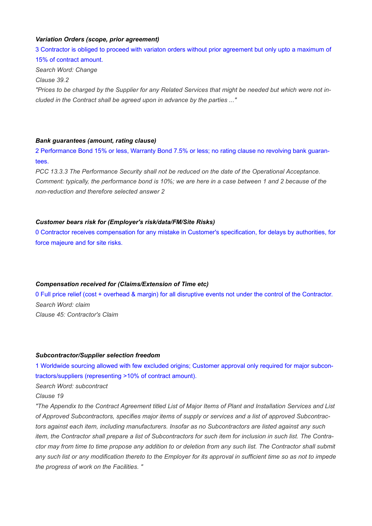## Variation Orders (scope, prior agreement)

3 Contractor is obliged to proceed with variaton orders without prior agreement but only upto a maximum of 15% of contract amount.

Search Word: Change

Clause 39.2

"Prices to be charged by the Supplier for any Related Services that might be needed but which were not included in the Contract shall be agreed upon in advance by the parties ..."

## Bank guarantees (amount, rating clause)

2 Performance Bond 15% or less, Warranty Bond 7.5% or less; no rating clause no revolving bank guarantees.

PCC 13.3.3 The Performance Security shall not be reduced on the date of the Operational Acceptance. Comment: typically, the performance bond is 10%; we are here in a case between 1 and 2 because of the non-reduction and therefore selected answer 2

## Customer bears risk for (Employer's risk/data/FM/Site Risks)

0 Contractor receives compensation for any mistake in Customer's specification, for delays by authorities, for force majeure and for site risks.

## Compensation received for (Claims/Extension of Time etc)

0 Full price relief (cost + overhead & margin) for all disruptive events not under the control of the Contractor. Search Word: claim Clause 45: Contractor's Claim

#### Subcontractor/Supplier selection freedom

1 Worldwide sourcing allowed with few excluded origins; Customer approval only required for major subcontractors/suppliers (representing >10% of contract amount).

Search Word: subcontract

# Clause 19

"The Appendix to the Contract Agreement titled List of Major Items of Plant and Installation Services and List of Approved Subcontractors, specifies major items of supply or services and a list of approved Subcontractors against each item, including manufacturers. Insofar as no Subcontractors are listed against any such item, the Contractor shall prepare a list of Subcontractors for such item for inclusion in such list. The Contractor may from time to time propose any addition to or deletion from any such list. The Contractor shall submit any such list or any modification thereto to the Employer for its approval in sufficient time so as not to impede the progress of work on the Facilities. "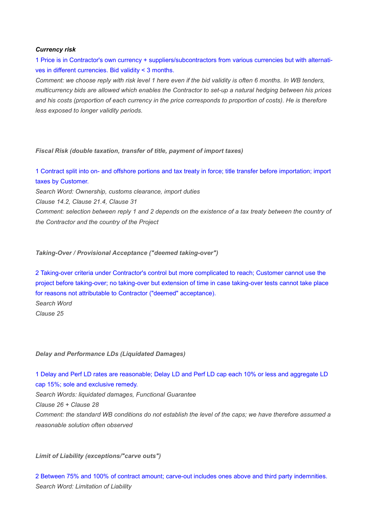#### Currency risk

1 Price is in Contractor's own currency + suppliers/subcontractors from various currencies but with alternatives in different currencies. Bid validity < 3 months.

Comment: we choose reply with risk level 1 here even if the bid validity is often 6 months. In WB tenders, multicurrency bids are allowed which enables the Contractor to set-up a natural hedging between his prices and his costs (proportion of each currency in the price corresponds to proportion of costs). He is therefore less exposed to longer validity periods.

Fiscal Risk (double taxation, transfer of title, payment of import taxes)

1 Contract split into on- and offshore portions and tax treaty in force; title transfer before importation; import taxes by Customer.

Search Word: Ownership, customs clearance, import duties

Clause 14.2, Clause 21.4, Clause 31

Comment: selection between reply 1 and 2 depends on the existence of a tax treaty between the country of the Contractor and the country of the Project

Taking-Over / Provisional Acceptance ("deemed taking-over")

2 Taking-over criteria under Contractor's control but more complicated to reach; Customer cannot use the project before taking-over; no taking-over but extension of time in case taking-over tests cannot take place for reasons not attributable to Contractor ("deemed" acceptance).

Search Word Clause 25

Delay and Performance LDs (Liquidated Damages)

1 Delay and Perf LD rates are reasonable; Delay LD and Perf LD cap each 10% or less and aggregate LD cap 15%; sole and exclusive remedy. Search Words: liquidated damages, Functional Guarantee Clause 26 + Clause 28 Comment: the standard WB conditions do not establish the level of the caps; we have therefore assumed a reasonable solution often observed

Limit of Liability (exceptions/"carve outs")

2 Between 75% and 100% of contract amount; carve-out includes ones above and third party indemnities. Search Word: Limitation of Liability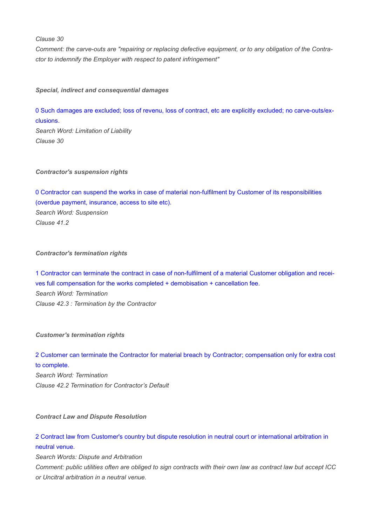Clause 30

Comment: the carve-outs are "repairing or replacing defective equipment, or to any obligation of the Contractor to indemnify the Employer with respect to patent infringement"

Special, indirect and consequential damages

0 Such damages are excluded; loss of revenu, loss of contract, etc are explicitly excluded; no carve-outs/exclusions.

Search Word: Limitation of Liability Clause 30

Contractor's suspension rights

0 Contractor can suspend the works in case of material non-fulfilment by Customer of its responsibilities (overdue payment, insurance, access to site etc). Search Word: Suspension Clause 41.2

Contractor's termination rights

1 Contractor can terminate the contract in case of non-fulfilment of a material Customer obligation and receives full compensation for the works completed + demobisation + cancellation fee. Search Word: Termination Clause 42.3 : Termination by the Contractor

Customer's termination rights

2 Customer can terminate the Contractor for material breach by Contractor; compensation only for extra cost to complete. Search Word: Termination Clause 42.2 Termination for Contractor's Default

Contract Law and Dispute Resolution

2 Contract law from Customer's country but dispute resolution in neutral court or international arbitration in neutral venue.

Search Words: Dispute and Arbitration

Comment: public utilities often are obliged to sign contracts with their own law as contract law but accept ICC or Uncitral arbitration in a neutral venue.